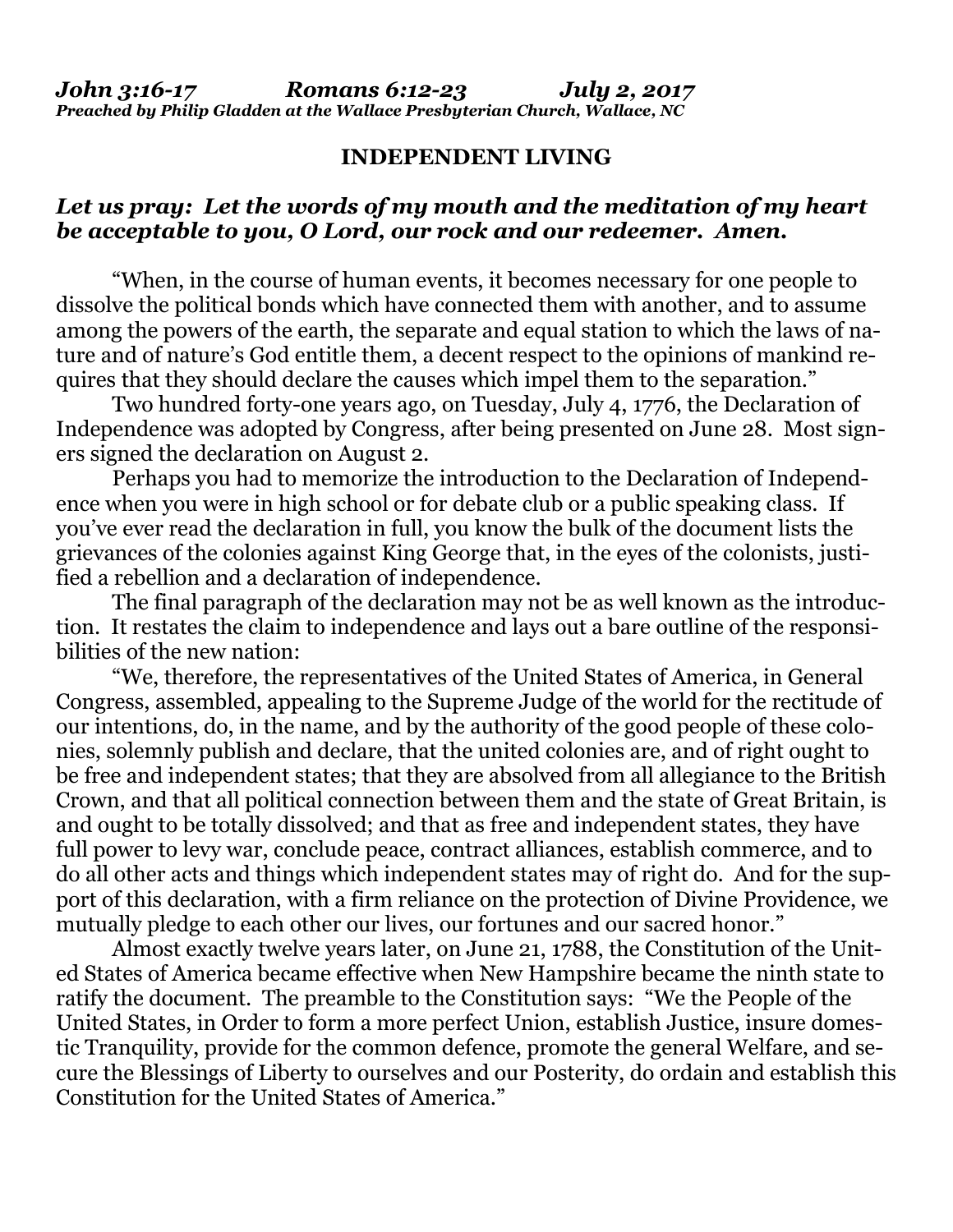### **INDEPENDENT LIVING**

# *Let us pray: Let the words of my mouth and the meditation of my heart be acceptable to you, O Lord, our rock and our redeemer. Amen.*

"When, in the course of human events, it becomes necessary for one people to dissolve the political bonds which have connected them with another, and to assume among the powers of the earth, the separate and equal station to which the laws of nature and of nature's God entitle them, a decent respect to the opinions of mankind requires that they should declare the causes which impel them to the separation."

Two hundred forty-one years ago, on Tuesday, July 4, 1776, the Declaration of Independence was adopted by Congress, after being presented on June 28. Most signers signed the declaration on August 2.

Perhaps you had to memorize the introduction to the Declaration of Independence when you were in high school or for debate club or a public speaking class. If you've ever read the declaration in full, you know the bulk of the document lists the grievances of the colonies against King George that, in the eyes of the colonists, justified a rebellion and a declaration of independence.

The final paragraph of the declaration may not be as well known as the introduction. It restates the claim to independence and lays out a bare outline of the responsibilities of the new nation:

"We, therefore, the representatives of the United States of America, in General Congress, assembled, appealing to the Supreme Judge of the world for the rectitude of our intentions, do, in the name, and by the authority of the good people of these colonies, solemnly publish and declare, that the united colonies are, and of right ought to be free and independent states; that they are absolved from all allegiance to the British Crown, and that all political connection between them and the state of Great Britain, is and ought to be totally dissolved; and that as free and independent states, they have full power to levy war, conclude peace, contract alliances, establish commerce, and to do all other acts and things which independent states may of right do. And for the support of this declaration, with a firm reliance on the protection of Divine Providence, we mutually pledge to each other our lives, our fortunes and our sacred honor."

Almost exactly twelve years later, on June 21, 1788, the Constitution of the United States of America became effective when New Hampshire became the ninth state to ratify the document. The preamble to the Constitution says: "We the People of the United States, in Order to form a more perfect Union, establish Justice, insure domestic Tranquility, provide for the common defence, promote the general Welfare, and secure the Blessings of Liberty to ourselves and our Posterity, do ordain and establish this Constitution for the United States of America."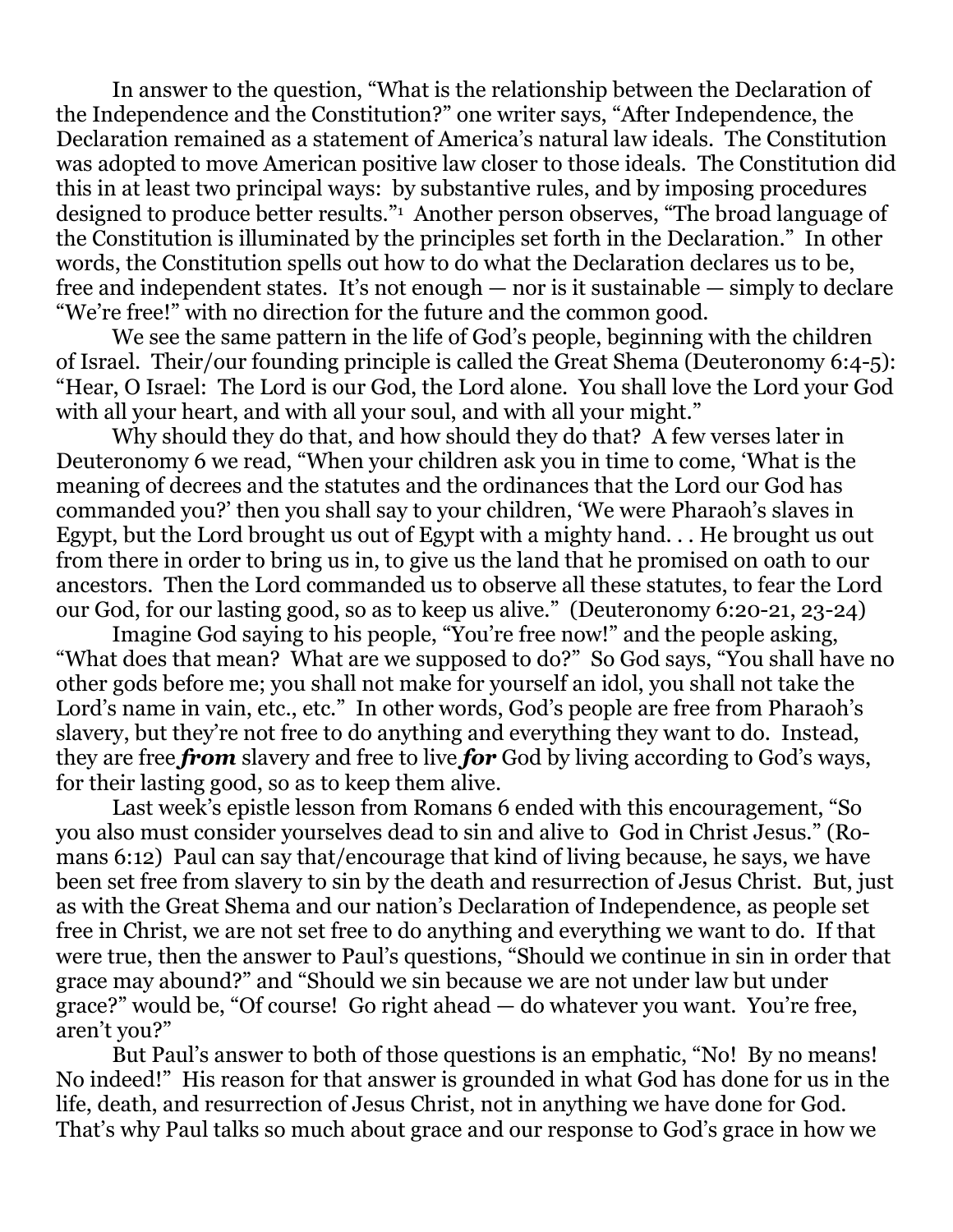In answer to the question, "What is the relationship between the Declaration of the Independence and the Constitution?" one writer says, "After Independence, the Declaration remained as a statement of America's natural law ideals. The Constitution was adopted to move American positive law closer to those ideals. The Constitution did this in at least two principal ways: by substantive rules, and by imposing procedures designed to produce better results."<sup>1</sup> Another person observes, "The broad language of the Constitution is illuminated by the principles set forth in the Declaration." In other words, the Constitution spells out how to do what the Declaration declares us to be, free and independent states. It's not enough — nor is it sustainable — simply to declare "We're free!" with no direction for the future and the common good.

We see the same pattern in the life of God's people, beginning with the children of Israel. Their/our founding principle is called the Great Shema (Deuteronomy 6:4-5): "Hear, O Israel: The Lord is our God, the Lord alone. You shall love the Lord your God with all your heart, and with all your soul, and with all your might."

Why should they do that, and how should they do that? A few verses later in Deuteronomy 6 we read, "When your children ask you in time to come, 'What is the meaning of decrees and the statutes and the ordinances that the Lord our God has commanded you?' then you shall say to your children, 'We were Pharaoh's slaves in Egypt, but the Lord brought us out of Egypt with a mighty hand. . . He brought us out from there in order to bring us in, to give us the land that he promised on oath to our ancestors. Then the Lord commanded us to observe all these statutes, to fear the Lord our God, for our lasting good, so as to keep us alive." (Deuteronomy 6:20-21, 23-24)

Imagine God saying to his people, "You're free now!" and the people asking, "What does that mean? What are we supposed to do?" So God says, "You shall have no other gods before me; you shall not make for yourself an idol, you shall not take the Lord's name in vain, etc., etc." In other words, God's people are free from Pharaoh's slavery, but they're not free to do anything and everything they want to do. Instead, they are free *from* slavery and free to live *for* God by living according to God's ways, for their lasting good, so as to keep them alive.

Last week's epistle lesson from Romans 6 ended with this encouragement, "So you also must consider yourselves dead to sin and alive to God in Christ Jesus." (Romans 6:12) Paul can say that/encourage that kind of living because, he says, we have been set free from slavery to sin by the death and resurrection of Jesus Christ. But, just as with the Great Shema and our nation's Declaration of Independence, as people set free in Christ, we are not set free to do anything and everything we want to do. If that were true, then the answer to Paul's questions, "Should we continue in sin in order that grace may abound?" and "Should we sin because we are not under law but under grace?" would be, "Of course! Go right ahead — do whatever you want. You're free, aren't you?"

But Paul's answer to both of those questions is an emphatic, "No! By no means! No indeed!" His reason for that answer is grounded in what God has done for us in the life, death, and resurrection of Jesus Christ, not in anything we have done for God. That's why Paul talks so much about grace and our response to God's grace in how we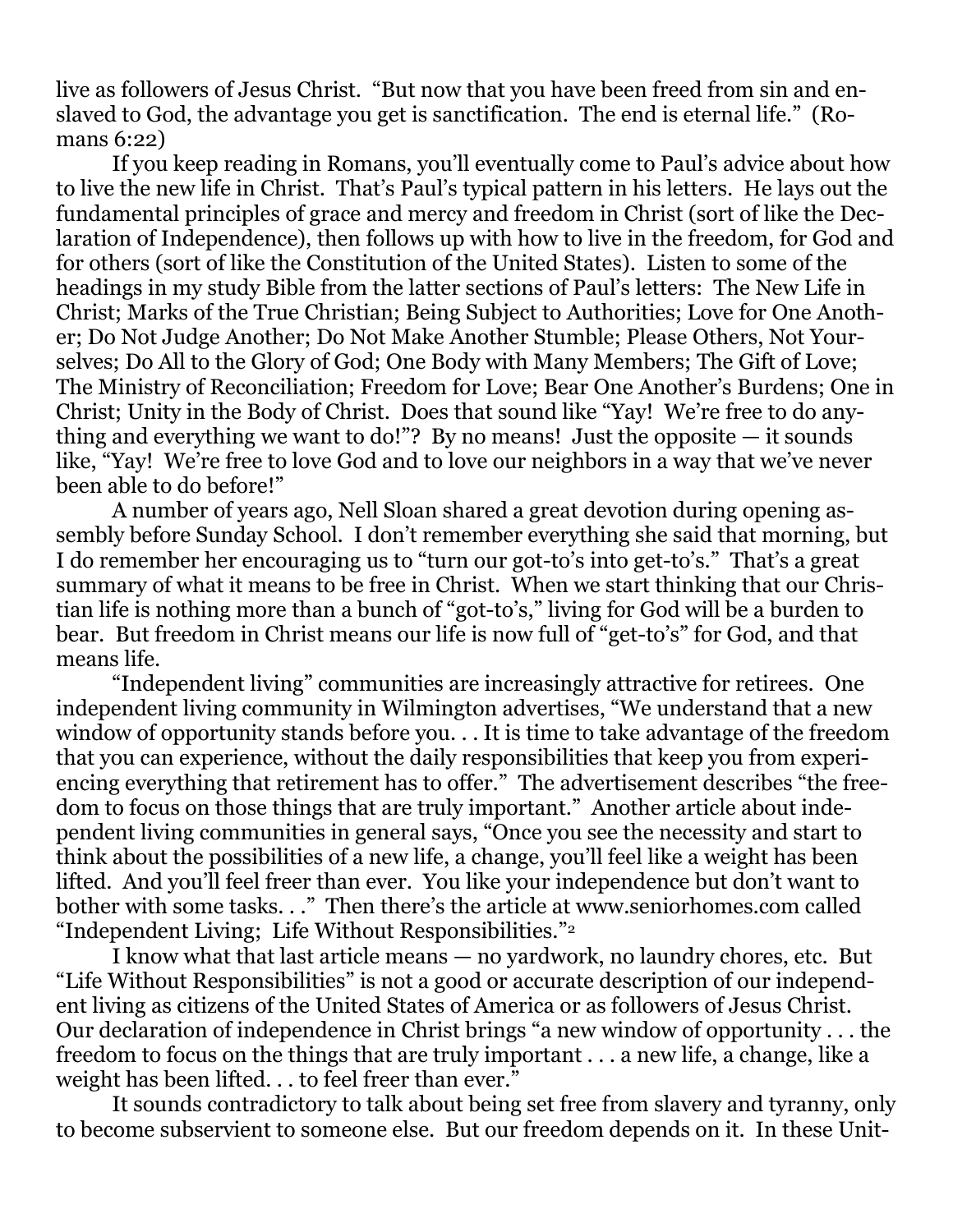live as followers of Jesus Christ. "But now that you have been freed from sin and enslaved to God, the advantage you get is sanctification. The end is eternal life." (Romans 6:22)

If you keep reading in Romans, you'll eventually come to Paul's advice about how to live the new life in Christ. That's Paul's typical pattern in his letters. He lays out the fundamental principles of grace and mercy and freedom in Christ (sort of like the Declaration of Independence), then follows up with how to live in the freedom, for God and for others (sort of like the Constitution of the United States). Listen to some of the headings in my study Bible from the latter sections of Paul's letters: The New Life in Christ; Marks of the True Christian; Being Subject to Authorities; Love for One Another; Do Not Judge Another; Do Not Make Another Stumble; Please Others, Not Yourselves; Do All to the Glory of God; One Body with Many Members; The Gift of Love; The Ministry of Reconciliation; Freedom for Love; Bear One Another's Burdens; One in Christ; Unity in the Body of Christ. Does that sound like "Yay! We're free to do anything and everything we want to do!"? By no means! Just the opposite  $-$  it sounds like, "Yay! We're free to love God and to love our neighbors in a way that we've never been able to do before!"

A number of years ago, Nell Sloan shared a great devotion during opening assembly before Sunday School. I don't remember everything she said that morning, but I do remember her encouraging us to "turn our got-to's into get-to's." That's a great summary of what it means to be free in Christ. When we start thinking that our Christian life is nothing more than a bunch of "got-to's," living for God will be a burden to bear. But freedom in Christ means our life is now full of "get-to's" for God, and that means life.

"Independent living" communities are increasingly attractive for retirees. One independent living community in Wilmington advertises, "We understand that a new window of opportunity stands before you. . . It is time to take advantage of the freedom that you can experience, without the daily responsibilities that keep you from experiencing everything that retirement has to offer." The advertisement describes "the freedom to focus on those things that are truly important." Another article about independent living communities in general says, "Once you see the necessity and start to think about the possibilities of a new life, a change, you'll feel like a weight has been lifted. And you'll feel freer than ever. You like your independence but don't want to bother with some tasks. . ." Then there's the article at [www.seniorhomes.com](http://www.seniorhomes.com/) called "Independent Living; Life Without Responsibilities."<sup>2</sup>

I know what that last article means — no yardwork, no laundry chores, etc. But "Life Without Responsibilities" is not a good or accurate description of our independent living as citizens of the United States of America or as followers of Jesus Christ. Our declaration of independence in Christ brings "a new window of opportunity . . . the freedom to focus on the things that are truly important . . . a new life, a change, like a weight has been lifted. . . to feel freer than ever."

It sounds contradictory to talk about being set free from slavery and tyranny, only to become subservient to someone else. But our freedom depends on it. In these Unit-